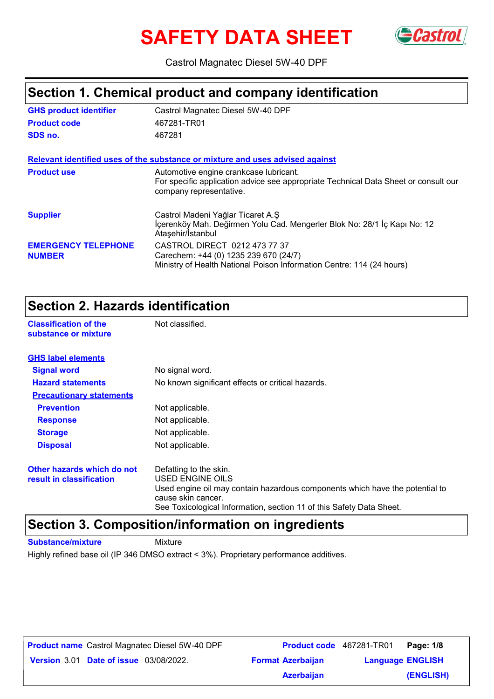# **SAFETY DATA SHEET**



Castrol Magnatec Diesel 5W-40 DPF

### **Section 1. Chemical product and company identification**

| <b>GHS product identifier</b>               | Castrol Magnatec Diesel 5W-40 DPF                                                                                                                        |
|---------------------------------------------|----------------------------------------------------------------------------------------------------------------------------------------------------------|
| <b>Product code</b>                         | 467281-TR01                                                                                                                                              |
| SDS no.                                     | 467281                                                                                                                                                   |
|                                             | Relevant identified uses of the substance or mixture and uses advised against                                                                            |
| <b>Product use</b>                          | Automotive engine crankcase lubricant.<br>For specific application advice see appropriate Technical Data Sheet or consult our<br>company representative. |
| <b>Supplier</b>                             | Castrol Madeni Yağlar Ticaret A.Ş<br>İçerenköy Mah. Değirmen Yolu Cad. Mengerler Blok No: 28/1 İç Kapı No: 12<br>Ataşehir/İstanbul                       |
| <b>EMERGENCY TELEPHONE</b><br><b>NUMBER</b> | CASTROL DIRECT 0212 473 77 37<br>Carechem: +44 (0) 1235 239 670 (24/7)<br>Ministry of Health National Poison Information Centre: 114 (24 hours)          |

### **Section 2. Hazards identification**

**Classification of the Mot classified. substance or mixture**

| <b>GHS label elements</b>                              |                                                                                                                                                                                                                          |
|--------------------------------------------------------|--------------------------------------------------------------------------------------------------------------------------------------------------------------------------------------------------------------------------|
| <b>Signal word</b>                                     | No signal word.                                                                                                                                                                                                          |
| <b>Hazard statements</b>                               | No known significant effects or critical hazards.                                                                                                                                                                        |
| <b>Precautionary statements</b>                        |                                                                                                                                                                                                                          |
| <b>Prevention</b>                                      | Not applicable.                                                                                                                                                                                                          |
| <b>Response</b>                                        | Not applicable.                                                                                                                                                                                                          |
| <b>Storage</b>                                         | Not applicable.                                                                                                                                                                                                          |
| <b>Disposal</b>                                        | Not applicable.                                                                                                                                                                                                          |
| Other hazards which do not<br>result in classification | Defatting to the skin.<br>USED ENGINE OILS<br>Used engine oil may contain hazardous components which have the potential to<br>cause skin cancer.<br>See Toxicological Information, section 11 of this Safety Data Sheet. |

### **Section 3. Composition/information on ingredients**

**Substance/mixture** Mixture

Highly refined base oil (IP 346 DMSO extract < 3%). Proprietary performance additives.

**Date of issue** 03/08/2022. **Version** 3.01 **Format Azerbaijan Language Product name** Castrol Magnatec Diesel 5W-40 DPF **Product code** 467281-TR01 **Page: 1/8 Language ENGLISH (ENGLISH) Product code** 467281-TR01 Page: 1/8 **Azerbaijan**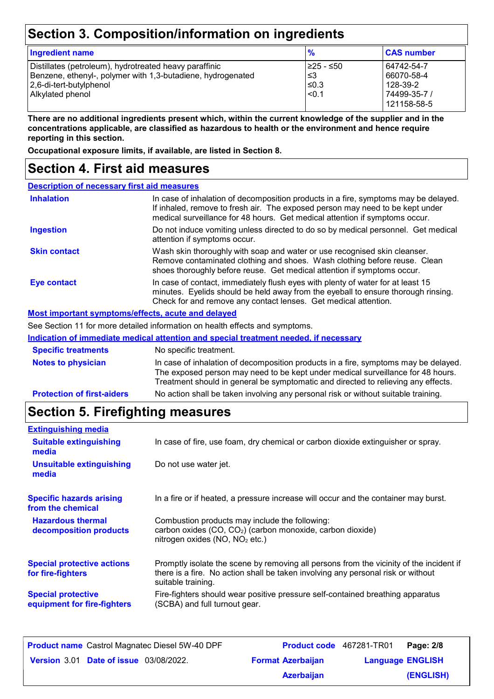## **Section 3. Composition/information on ingredients**

| <b>Ingredient name</b>                                                                                                                                               | $\frac{9}{6}$                            | <b>CAS number</b>                                                   |
|----------------------------------------------------------------------------------------------------------------------------------------------------------------------|------------------------------------------|---------------------------------------------------------------------|
| Distillates (petroleum), hydrotreated heavy paraffinic<br>Benzene, ethenyl-, polymer with 1,3-butadiene, hydrogenated<br>2,6-di-tert-butylphenol<br>Alkylated phenol | 1≥25 - ≤50<br>l ≤3<br>$≤0.3$<br>$ $ <0.1 | 64742-54-7<br>66070-58-4<br>128-39-2<br>74499-35-7 /<br>121158-58-5 |

**There are no additional ingredients present which, within the current knowledge of the supplier and in the concentrations applicable, are classified as hazardous to health or the environment and hence require reporting in this section.**

**Occupational exposure limits, if available, are listed in Section 8.**

### **Section 4. First aid measures**

| <b>Description of necessary first aid measures</b> |                                                                                                                                                                                                                                                             |  |
|----------------------------------------------------|-------------------------------------------------------------------------------------------------------------------------------------------------------------------------------------------------------------------------------------------------------------|--|
| <b>Inhalation</b>                                  | In case of inhalation of decomposition products in a fire, symptoms may be delayed.<br>If inhaled, remove to fresh air. The exposed person may need to be kept under<br>medical surveillance for 48 hours. Get medical attention if symptoms occur.         |  |
| <b>Ingestion</b>                                   | Do not induce vomiting unless directed to do so by medical personnel. Get medical<br>attention if symptoms occur.                                                                                                                                           |  |
| <b>Skin contact</b>                                | Wash skin thoroughly with soap and water or use recognised skin cleanser.<br>Remove contaminated clothing and shoes. Wash clothing before reuse. Clean<br>shoes thoroughly before reuse. Get medical attention if symptoms occur.                           |  |
| <b>Eye contact</b>                                 | In case of contact, immediately flush eyes with plenty of water for at least 15<br>minutes. Eyelids should be held away from the eyeball to ensure thorough rinsing.<br>Check for and remove any contact lenses. Get medical attention.                     |  |
| Most important symptoms/effects, acute and delayed |                                                                                                                                                                                                                                                             |  |
|                                                    | See Section 11 for more detailed information on health effects and symptoms.                                                                                                                                                                                |  |
|                                                    | Indication of immediate medical attention and special treatment needed, if necessary                                                                                                                                                                        |  |
| <b>Specific treatments</b>                         | No specific treatment.                                                                                                                                                                                                                                      |  |
| <b>Notes to physician</b>                          | In case of inhalation of decomposition products in a fire, symptoms may be delayed.<br>The exposed person may need to be kept under medical surveillance for 48 hours.<br>Treatment should in general be symptomatic and directed to relieving any effects. |  |
| <b>Protection of first-aiders</b>                  | No action shall be taken involving any personal risk or without suitable training.                                                                                                                                                                          |  |

## **Section 5. Firefighting measures**

| <b>Extinguishing media</b>                               |                                                                                                                                                                                                   |
|----------------------------------------------------------|---------------------------------------------------------------------------------------------------------------------------------------------------------------------------------------------------|
| <b>Suitable extinguishing</b><br>media                   | In case of fire, use foam, dry chemical or carbon dioxide extinguisher or spray.                                                                                                                  |
| Unsuitable extinguishing<br>media                        | Do not use water jet.                                                                                                                                                                             |
| <b>Specific hazards arising</b><br>from the chemical     | In a fire or if heated, a pressure increase will occur and the container may burst.                                                                                                               |
| <b>Hazardous thermal</b><br>decomposition products       | Combustion products may include the following:<br>carbon oxides (CO, CO <sub>2</sub> ) (carbon monoxide, carbon dioxide)<br>nitrogen oxides (NO, NO <sub>2</sub> etc.)                            |
| <b>Special protective actions</b><br>for fire-fighters   | Promptly isolate the scene by removing all persons from the vicinity of the incident if<br>there is a fire. No action shall be taken involving any personal risk or without<br>suitable training. |
| <b>Special protective</b><br>equipment for fire-fighters | Fire-fighters should wear positive pressure self-contained breathing apparatus<br>(SCBA) and full turnout gear.                                                                                   |

| <b>Product name</b> Castrol Magnatec Diesel 5W-40 DPF | <b>Product code</b> 467281-TR01 |                         | Page: 2/8 |
|-------------------------------------------------------|---------------------------------|-------------------------|-----------|
| <b>Version 3.01 Date of issue 03/08/2022.</b>         | <b>Format Azerbaijan</b>        | <b>Language ENGLISH</b> |           |
|                                                       | <b>Azerbaijan</b>               |                         | (ENGLISH) |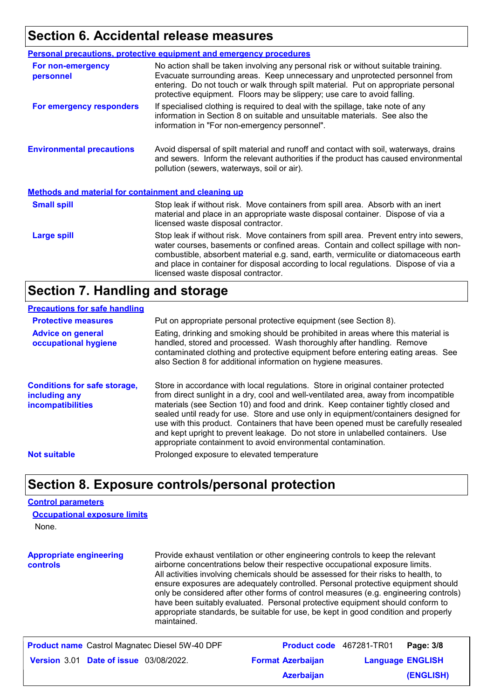### **Section 6. Accidental release measures**

|                                                             | <b>Personal precautions, protective equipment and emergency procedures</b>                                                                                                                                                                                                                                                                                                                         |
|-------------------------------------------------------------|----------------------------------------------------------------------------------------------------------------------------------------------------------------------------------------------------------------------------------------------------------------------------------------------------------------------------------------------------------------------------------------------------|
| For non-emergency<br>personnel                              | No action shall be taken involving any personal risk or without suitable training.<br>Evacuate surrounding areas. Keep unnecessary and unprotected personnel from<br>entering. Do not touch or walk through spilt material. Put on appropriate personal<br>protective equipment. Floors may be slippery; use care to avoid falling.                                                                |
| For emergency responders                                    | If specialised clothing is required to deal with the spillage, take note of any<br>information in Section 8 on suitable and unsuitable materials. See also the<br>information in "For non-emergency personnel".                                                                                                                                                                                    |
| <b>Environmental precautions</b>                            | Avoid dispersal of spilt material and runoff and contact with soil, waterways, drains<br>and sewers. Inform the relevant authorities if the product has caused environmental<br>pollution (sewers, waterways, soil or air).                                                                                                                                                                        |
| <b>Methods and material for containment and cleaning up</b> |                                                                                                                                                                                                                                                                                                                                                                                                    |
| <b>Small spill</b>                                          | Stop leak if without risk. Move containers from spill area. Absorb with an inert<br>material and place in an appropriate waste disposal container. Dispose of via a<br>licensed waste disposal contractor.                                                                                                                                                                                         |
| <b>Large spill</b>                                          | Stop leak if without risk. Move containers from spill area. Prevent entry into sewers,<br>water courses, basements or confined areas. Contain and collect spillage with non-<br>combustible, absorbent material e.g. sand, earth, vermiculite or diatomaceous earth<br>and place in container for disposal according to local regulations. Dispose of via a<br>licensed waste disposal contractor. |

### **Section 7. Handling and storage**

#### **Precautions for safe handling**

| <b>Protective measures</b><br><b>Advice on general</b><br>occupational hygiene   | Put on appropriate personal protective equipment (see Section 8).<br>Eating, drinking and smoking should be prohibited in areas where this material is<br>handled, stored and processed. Wash thoroughly after handling. Remove<br>contaminated clothing and protective equipment before entering eating areas. See<br>also Section 8 for additional information on hygiene measures.                                                                                                                                                                                                          |
|----------------------------------------------------------------------------------|------------------------------------------------------------------------------------------------------------------------------------------------------------------------------------------------------------------------------------------------------------------------------------------------------------------------------------------------------------------------------------------------------------------------------------------------------------------------------------------------------------------------------------------------------------------------------------------------|
| <b>Conditions for safe storage,</b><br>including any<br><i>incompatibilities</i> | Store in accordance with local regulations. Store in original container protected<br>from direct sunlight in a dry, cool and well-ventilated area, away from incompatible<br>materials (see Section 10) and food and drink. Keep container tightly closed and<br>sealed until ready for use. Store and use only in equipment/containers designed for<br>use with this product. Containers that have been opened must be carefully resealed<br>and kept upright to prevent leakage. Do not store in unlabelled containers. Use<br>appropriate containment to avoid environmental contamination. |
| <b>Not suitable</b>                                                              | Prolonged exposure to elevated temperature                                                                                                                                                                                                                                                                                                                                                                                                                                                                                                                                                     |

### **Section 8. Exposure controls/personal protection**

#### **Control parameters**

| <b>Occupational exposure limits</b> |  |
|-------------------------------------|--|
| None.                               |  |

**Appropriate engineering controls** Provide exhaust ventilation or other engineering controls to keep the relevant airborne concentrations below their respective occupational exposure limits. All activities involving chemicals should be assessed for their risks to health, to ensure exposures are adequately controlled. Personal protective equipment should only be considered after other forms of control measures (e.g. engineering controls) have been suitably evaluated. Personal protective equipment should conform to appropriate standards, be suitable for use, be kept in good condition and properly maintained.

| <b>Product name</b> Castrol Magnatec Diesel 5W-40 DPF | Product code 467281-TR01 | Page: 3/8               |  |
|-------------------------------------------------------|--------------------------|-------------------------|--|
| <b>Version 3.01 Date of issue 03/08/2022.</b>         | <b>Format Azerbaijan</b> | <b>Language ENGLISH</b> |  |
|                                                       | <b>Azerbaijan</b>        | (ENGLISH)               |  |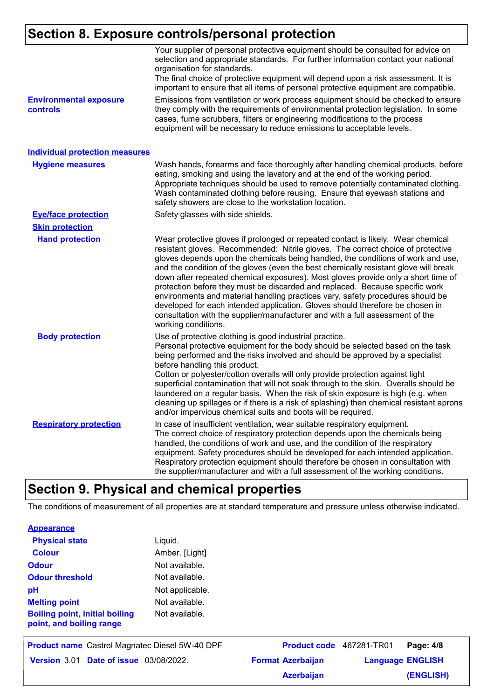### **Section 8. Exposure controls/personal protection**

|                                                  | Your supplier of personal protective equipment should be consulted for advice on<br>selection and appropriate standards. For further information contact your national<br>organisation for standards.<br>The final choice of protective equipment will depend upon a risk assessment. It is<br>important to ensure that all items of personal protective equipment are compatible.                                                                                                                                                                                                                                                                                                                                                                                                              |
|--------------------------------------------------|-------------------------------------------------------------------------------------------------------------------------------------------------------------------------------------------------------------------------------------------------------------------------------------------------------------------------------------------------------------------------------------------------------------------------------------------------------------------------------------------------------------------------------------------------------------------------------------------------------------------------------------------------------------------------------------------------------------------------------------------------------------------------------------------------|
| <b>Environmental exposure</b><br><b>controls</b> | Emissions from ventilation or work process equipment should be checked to ensure<br>they comply with the requirements of environmental protection legislation. In some<br>cases, fume scrubbers, filters or engineering modifications to the process<br>equipment will be necessary to reduce emissions to acceptable levels.                                                                                                                                                                                                                                                                                                                                                                                                                                                                   |
| <b>Individual protection measures</b>            |                                                                                                                                                                                                                                                                                                                                                                                                                                                                                                                                                                                                                                                                                                                                                                                                 |
| <b>Hygiene measures</b>                          | Wash hands, forearms and face thoroughly after handling chemical products, before<br>eating, smoking and using the lavatory and at the end of the working period.<br>Appropriate techniques should be used to remove potentially contaminated clothing.<br>Wash contaminated clothing before reusing. Ensure that eyewash stations and<br>safety showers are close to the workstation location.                                                                                                                                                                                                                                                                                                                                                                                                 |
| <b>Eye/face protection</b>                       | Safety glasses with side shields.                                                                                                                                                                                                                                                                                                                                                                                                                                                                                                                                                                                                                                                                                                                                                               |
| <b>Skin protection</b>                           |                                                                                                                                                                                                                                                                                                                                                                                                                                                                                                                                                                                                                                                                                                                                                                                                 |
| <b>Hand protection</b>                           | Wear protective gloves if prolonged or repeated contact is likely. Wear chemical<br>resistant gloves. Recommended: Nitrile gloves. The correct choice of protective<br>gloves depends upon the chemicals being handled, the conditions of work and use,<br>and the condition of the gloves (even the best chemically resistant glove will break<br>down after repeated chemical exposures). Most gloves provide only a short time of<br>protection before they must be discarded and replaced. Because specific work<br>environments and material handling practices vary, safety procedures should be<br>developed for each intended application. Gloves should therefore be chosen in<br>consultation with the supplier/manufacturer and with a full assessment of the<br>working conditions. |
| <b>Body protection</b>                           | Use of protective clothing is good industrial practice.<br>Personal protective equipment for the body should be selected based on the task<br>being performed and the risks involved and should be approved by a specialist<br>before handling this product.<br>Cotton or polyester/cotton overalls will only provide protection against light<br>superficial contamination that will not soak through to the skin. Overalls should be<br>laundered on a regular basis. When the risk of skin exposure is high (e.g. when<br>cleaning up spillages or if there is a risk of splashing) then chemical resistant aprons<br>and/or impervious chemical suits and boots will be required.                                                                                                           |
| <b>Respiratory protection</b>                    | In case of insufficient ventilation, wear suitable respiratory equipment.<br>The correct choice of respiratory protection depends upon the chemicals being<br>handled, the conditions of work and use, and the condition of the respiratory<br>equipment. Safety procedures should be developed for each intended application.<br>Respiratory protection equipment should therefore be chosen in consultation with<br>the supplier/manufacturer and with a full assessment of the working conditions.                                                                                                                                                                                                                                                                                           |

### **Section 9. Physical and chemical properties**

The conditions of measurement of all properties are at standard temperature and pressure unless otherwise indicated.

| <b>Physical state</b>                                             | Liquid.         |
|-------------------------------------------------------------------|-----------------|
| <b>Colour</b>                                                     | Amber. [Light]  |
| <b>Odour</b>                                                      | Not available.  |
| <b>Odour threshold</b>                                            | Not available.  |
| рH                                                                | Not applicable. |
| <b>Melting point</b>                                              | Not available.  |
| <b>Boiling point, initial boiling</b><br>point, and boiling range | Not available.  |

| <b>Product name</b> Castrol Magnatec Diesel 5W-40 DPF | Product code 467281-TR01 |                         | Page: 4/8 |
|-------------------------------------------------------|--------------------------|-------------------------|-----------|
| <b>Version 3.01 Date of issue 03/08/2022.</b>         | <b>Format Azerbaijan</b> | <b>Language ENGLISH</b> |           |
|                                                       | <b>Azerbaijan</b>        |                         | (ENGLISH) |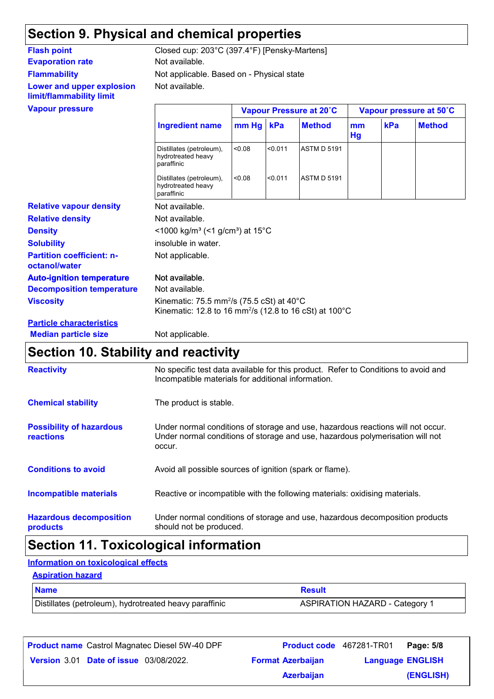## **Section 9. Physical and chemical properties**

### **Evaporation rate** Not available. **Flammability Lower and upper explosion limit/flammability limit**

Not available. Not applicable. Based on - Physical state **Flash point** Closed cup: 203°C (397.4°F) [Pensky-Martens]

|                                                   | Vapour Pressure at 20°C                                                                                                                           |             |         |                    |          | Vapour pressure at 50°C |               |  |
|---------------------------------------------------|---------------------------------------------------------------------------------------------------------------------------------------------------|-------------|---------|--------------------|----------|-------------------------|---------------|--|
|                                                   | <b>Ingredient name</b>                                                                                                                            | $mm Hg$ kPa |         | <b>Method</b>      | mm<br>Hg | kPa                     | <b>Method</b> |  |
|                                                   | Distillates (petroleum),<br>hydrotreated heavy<br>paraffinic                                                                                      | 0.08        | < 0.011 | <b>ASTM D 5191</b> |          |                         |               |  |
|                                                   | Distillates (petroleum),<br>hydrotreated heavy<br>paraffinic                                                                                      | < 0.08      | < 0.011 | <b>ASTM D 5191</b> |          |                         |               |  |
| <b>Relative vapour density</b>                    | Not available.                                                                                                                                    |             |         |                    |          |                         |               |  |
| <b>Relative density</b>                           | Not available.                                                                                                                                    |             |         |                    |          |                         |               |  |
| <b>Density</b>                                    | <1000 kg/m <sup>3</sup> (<1 g/cm <sup>3</sup> ) at 15 <sup>°</sup> C                                                                              |             |         |                    |          |                         |               |  |
| <b>Solubility</b>                                 | insoluble in water.                                                                                                                               |             |         |                    |          |                         |               |  |
| <b>Partition coefficient: n-</b><br>octanol/water | Not applicable.                                                                                                                                   |             |         |                    |          |                         |               |  |
| <b>Auto-ignition temperature</b>                  | Not available.                                                                                                                                    |             |         |                    |          |                         |               |  |
| <b>Decomposition temperature</b>                  | Not available.                                                                                                                                    |             |         |                    |          |                         |               |  |
| <b>Viscosity</b>                                  | Kinematic: 75.5 mm <sup>2</sup> /s (75.5 cSt) at 40 $^{\circ}$ C<br>Kinematic: 12.8 to 16 mm <sup>2</sup> /s (12.8 to 16 cSt) at 100 $^{\circ}$ C |             |         |                    |          |                         |               |  |
| <b>Particle characteristics</b>                   |                                                                                                                                                   |             |         |                    |          |                         |               |  |
| <b>Median particle size</b>                       | Not applicable.                                                                                                                                   |             |         |                    |          |                         |               |  |

### **Section 10. Stability and reactivity**

| <b>Reactivity</b>                                   | No specific test data available for this product. Refer to Conditions to avoid and<br>Incompatible materials for additional information.                                   |
|-----------------------------------------------------|----------------------------------------------------------------------------------------------------------------------------------------------------------------------------|
| <b>Chemical stability</b>                           | The product is stable.                                                                                                                                                     |
| <b>Possibility of hazardous</b><br><b>reactions</b> | Under normal conditions of storage and use, hazardous reactions will not occur.<br>Under normal conditions of storage and use, hazardous polymerisation will not<br>occur. |
| <b>Conditions to avoid</b>                          | Avoid all possible sources of ignition (spark or flame).                                                                                                                   |
| Incompatible materials                              | Reactive or incompatible with the following materials: oxidising materials.                                                                                                |
| <b>Hazardous decomposition</b><br>products          | Under normal conditions of storage and use, hazardous decomposition products<br>should not be produced.                                                                    |

### **Section 11. Toxicological information**

#### **Information on toxicological effects**

#### **Aspiration hazard**

| <b>Name</b>                                            | <b>Result</b>                         |
|--------------------------------------------------------|---------------------------------------|
| Distillates (petroleum), hydrotreated heavy paraffinic | <b>ASPIRATION HAZARD - Category 1</b> |

|                                               | <b>Product name</b> Castrol Magnatec Diesel 5W-40 DPF | Product code 467281-TR01 |                         | Page: 5/8 |
|-----------------------------------------------|-------------------------------------------------------|--------------------------|-------------------------|-----------|
| <b>Version 3.01 Date of issue 03/08/2022.</b> |                                                       | <b>Format Azerbaijan</b> | <b>Language ENGLISH</b> |           |
|                                               |                                                       | <b>Azerbaijan</b>        |                         | (ENGLISH) |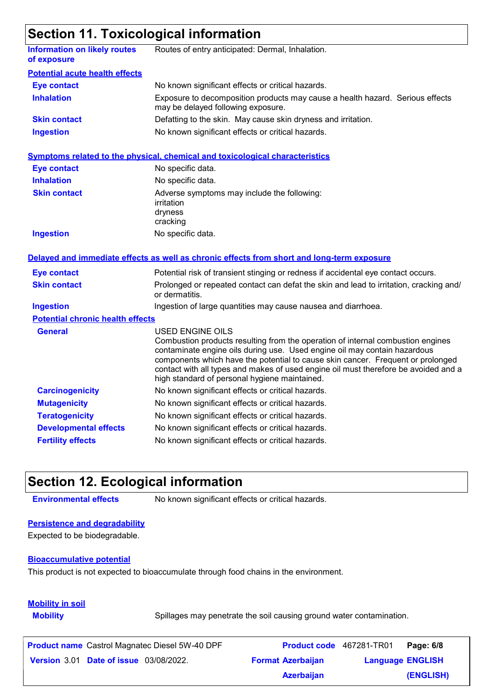### **Section 11. Toxicological information**

|                                                    | <u>oodiidii 11.1 ohiddidgiddi illioi illatidi</u>                                                                                                                                                                                                                                                                                                                                                           |
|----------------------------------------------------|-------------------------------------------------------------------------------------------------------------------------------------------------------------------------------------------------------------------------------------------------------------------------------------------------------------------------------------------------------------------------------------------------------------|
| <b>Information on likely routes</b><br>of exposure | Routes of entry anticipated: Dermal, Inhalation.                                                                                                                                                                                                                                                                                                                                                            |
| <b>Potential acute health effects</b>              |                                                                                                                                                                                                                                                                                                                                                                                                             |
| <b>Eye contact</b>                                 | No known significant effects or critical hazards.                                                                                                                                                                                                                                                                                                                                                           |
| <b>Inhalation</b>                                  | Exposure to decomposition products may cause a health hazard. Serious effects<br>may be delayed following exposure.                                                                                                                                                                                                                                                                                         |
| <b>Skin contact</b>                                | Defatting to the skin. May cause skin dryness and irritation.                                                                                                                                                                                                                                                                                                                                               |
| <b>Ingestion</b>                                   | No known significant effects or critical hazards.                                                                                                                                                                                                                                                                                                                                                           |
|                                                    | <b>Symptoms related to the physical, chemical and toxicological characteristics</b>                                                                                                                                                                                                                                                                                                                         |
| <b>Eye contact</b>                                 | No specific data.                                                                                                                                                                                                                                                                                                                                                                                           |
| <b>Inhalation</b>                                  | No specific data.                                                                                                                                                                                                                                                                                                                                                                                           |
| <b>Skin contact</b>                                | Adverse symptoms may include the following:<br>irritation<br>dryness<br>cracking                                                                                                                                                                                                                                                                                                                            |
| <b>Ingestion</b>                                   | No specific data.                                                                                                                                                                                                                                                                                                                                                                                           |
|                                                    | Delayed and immediate effects as well as chronic effects from short and long-term exposure                                                                                                                                                                                                                                                                                                                  |
| <b>Eye contact</b>                                 | Potential risk of transient stinging or redness if accidental eye contact occurs.                                                                                                                                                                                                                                                                                                                           |
| <b>Skin contact</b>                                | Prolonged or repeated contact can defat the skin and lead to irritation, cracking and/<br>or dermatitis.                                                                                                                                                                                                                                                                                                    |
| <b>Ingestion</b>                                   | Ingestion of large quantities may cause nausea and diarrhoea.                                                                                                                                                                                                                                                                                                                                               |
| <b>Potential chronic health effects</b>            |                                                                                                                                                                                                                                                                                                                                                                                                             |
| <b>General</b>                                     | USED ENGINE OILS<br>Combustion products resulting from the operation of internal combustion engines<br>contaminate engine oils during use. Used engine oil may contain hazardous<br>components which have the potential to cause skin cancer. Frequent or prolonged<br>contact with all types and makes of used engine oil must therefore be avoided and a<br>high standard of personal hygiene maintained. |
| <b>Carcinogenicity</b>                             | No known significant effects or critical hazards.                                                                                                                                                                                                                                                                                                                                                           |
| <b>Mutagenicity</b>                                | No known significant effects or critical hazards.                                                                                                                                                                                                                                                                                                                                                           |
| <b>Teratogenicity</b>                              | No known significant effects or critical hazards.                                                                                                                                                                                                                                                                                                                                                           |
| <b>Developmental effects</b>                       | No known significant effects or critical hazards.                                                                                                                                                                                                                                                                                                                                                           |
| <b>Fertility effects</b>                           | No known significant effects or critical hazards.                                                                                                                                                                                                                                                                                                                                                           |

### **Section 12. Ecological information**

**Environmental effects** No known significant effects or critical hazards.

### **Persistence and degradability**

Expected to be biodegradable.

#### **Bioaccumulative potential**

This product is not expected to bioaccumulate through food chains in the environment.

### **Mobility in soil**

**Mobility** Spillages may penetrate the soil causing ground water contamination.

| <b>Product name</b> Castrol Magnatec Diesel 5W-40 DPF | <b>Product code</b> 467281-TR01 |                         | Page: 6/8 |
|-------------------------------------------------------|---------------------------------|-------------------------|-----------|
| <b>Version 3.01 Date of issue 03/08/2022.</b>         | <b>Format Azerbaijan</b>        | <b>Language ENGLISH</b> |           |
|                                                       | <b>Azerbaijan</b>               |                         | (ENGLISH) |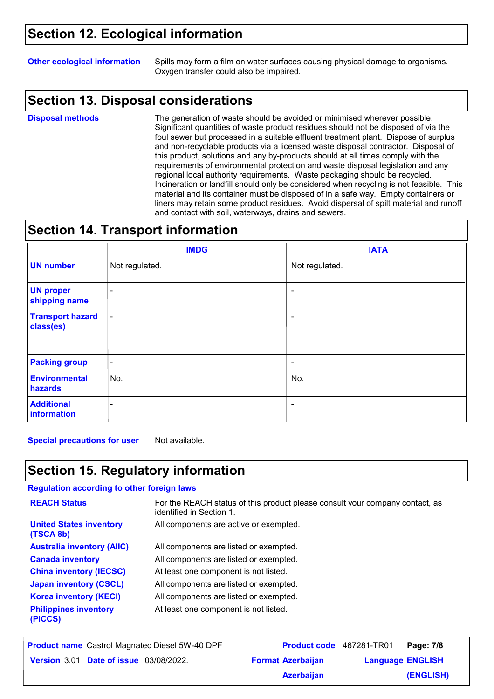### **Section 12. Ecological information**

**Other ecological information** Spills may form a film on water surfaces causing physical damage to organisms. Oxygen transfer could also be impaired.

### **Section 13. Disposal considerations**

**Disposal methods**

The generation of waste should be avoided or minimised wherever possible. Significant quantities of waste product residues should not be disposed of via the foul sewer but processed in a suitable effluent treatment plant. Dispose of surplus and non-recyclable products via a licensed waste disposal contractor. Disposal of this product, solutions and any by-products should at all times comply with the requirements of environmental protection and waste disposal legislation and any regional local authority requirements. Waste packaging should be recycled. Incineration or landfill should only be considered when recycling is not feasible. This material and its container must be disposed of in a safe way. Empty containers or liners may retain some product residues. Avoid dispersal of spilt material and runoff and contact with soil, waterways, drains and sewers.

### **Section 14. Transport information**

|                                      | <b>IMDG</b>              | <b>IATA</b>              |
|--------------------------------------|--------------------------|--------------------------|
| <b>UN number</b>                     | Not regulated.           | Not regulated.           |
| <b>UN proper</b><br>shipping name    | $\blacksquare$           | $\overline{\phantom{a}}$ |
| <b>Transport hazard</b><br>class(es) | $\blacksquare$           | ۰                        |
| <b>Packing group</b>                 | $\overline{\phantom{a}}$ | ٠                        |
| <b>Environmental</b><br>hazards      | No.                      | No.                      |
| <b>Additional</b><br>information     | $\blacksquare$           | $\tilde{\phantom{a}}$    |

**Special precautions for user** Not available.

### **Section 15. Regulatory information**

#### **Regulation according to other foreign laws**

| <b>REACH Status</b>                         | For the REACH status of this product please consult your company contact, as<br>identified in Section 1. |
|---------------------------------------------|----------------------------------------------------------------------------------------------------------|
| <b>United States inventory</b><br>(TSCA 8b) | All components are active or exempted.                                                                   |
| <b>Australia inventory (AIIC)</b>           | All components are listed or exempted.                                                                   |
| <b>Canada inventory</b>                     | All components are listed or exempted.                                                                   |
| <b>China inventory (IECSC)</b>              | At least one component is not listed.                                                                    |
| <b>Japan inventory (CSCL)</b>               | All components are listed or exempted.                                                                   |
| <b>Korea inventory (KECI)</b>               | All components are listed or exempted.                                                                   |
| <b>Philippines inventory</b><br>(PICCS)     | At least one component is not listed.                                                                    |

| <b>Product name</b> Castrol Magnatec Diesel 5W-40 DPF | Product code 467281-TR01 |                         | Page: 7/8 |
|-------------------------------------------------------|--------------------------|-------------------------|-----------|
| <b>Version 3.01 Date of issue 03/08/2022.</b>         | <b>Format Azerbaijan</b> | <b>Language ENGLISH</b> |           |
|                                                       | <b>Azerbaijan</b>        |                         | (ENGLISH) |